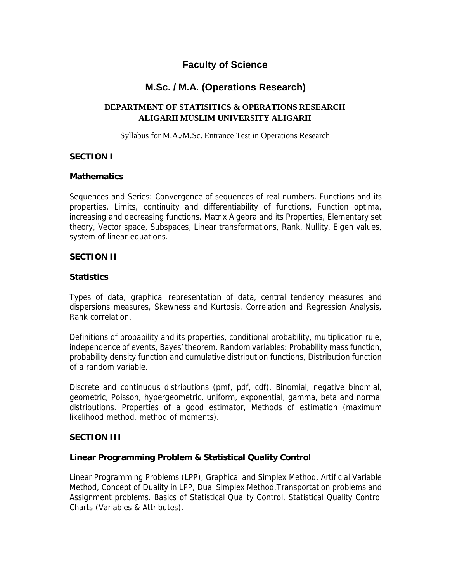# **Faculty of Science**

# **M.Sc. / M.A. (Operations Research)**

## **DEPARTMENT OF STATISITICS & OPERATIONS RESEARCH ALIGARH MUSLIM UNIVERSITY ALIGARH**

Syllabus for M.A./M.Sc. Entrance Test in Operations Research

## **SECTION I**

#### **Mathematics**

Sequences and Series: Convergence of sequences of real numbers. Functions and its properties, Limits, continuity and differentiability of functions, Function optima, increasing and decreasing functions. Matrix Algebra and its Properties, Elementary set theory, Vector space, Subspaces, Linear transformations, Rank, Nullity, Eigen values, system of linear equations.

## **SECTION II**

## **Statistics**

Types of data, graphical representation of data, central tendency measures and dispersions measures, Skewness and Kurtosis. Correlation and Regression Analysis, Rank correlation.

Definitions of probability and its properties, conditional probability, multiplication rule, independence of events, Bayes' theorem. Random variables: Probability mass function, probability density function and cumulative distribution functions, Distribution function of a random variable.

Discrete and continuous distributions (pmf, pdf, cdf). Binomial, negative binomial, geometric, Poisson, hypergeometric, uniform, exponential, gamma, beta and normal distributions. Properties of a good estimator, Methods of estimation (maximum likelihood method, method of moments).

#### **SECTION III**

#### **Linear Programming Problem & Statistical Quality Control**

Linear Programming Problems (LPP), Graphical and Simplex Method, Artificial Variable Method, Concept of Duality in LPP, Dual Simplex Method.Transportation problems and Assignment problems. Basics of Statistical Quality Control, Statistical Quality Control Charts (Variables & Attributes).